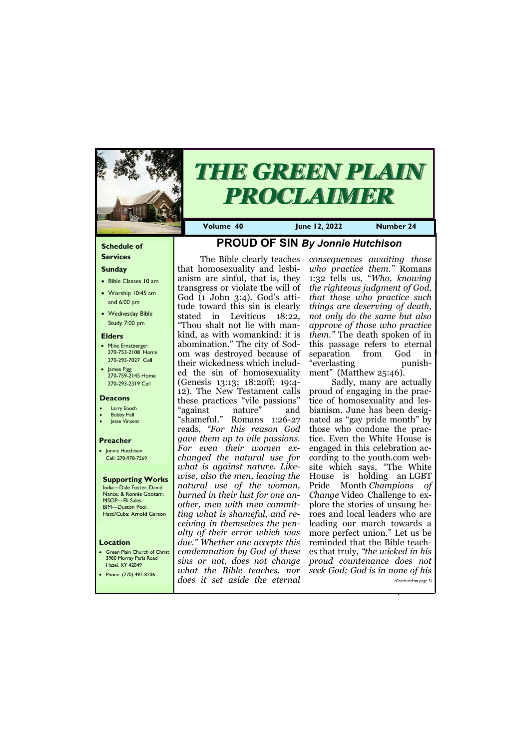#### **Schedule of Services**

### **Sunday**

- Bible Classes 10 am
- Worship 10:45 am and 6:00 pm
- Wednesday Bible Study 7:00 pm

#### **Elders**

- Mike Ernstberger 270-753-2108 Home 270-293-7027 Cell
- James Pigg 270-759-2145 Home 270-293-2319 Cell

#### **Location**

• Green Plain Church of Christ 3980 Murray Paris Road Hazel, KY 42049



# *THE GREEN PLAIN PROCLAIMER*

**Volume 40 June 12, 2022 Number 24**

#### **Deacons**

- **Larry Enoch**
- **Bobby Hall**
- Jesse Vincent

#### **Preacher**

• Jonnie Hutchison Cell: 270-978-7569

#### **Supporting Works** India—Dale Foster, David Nance. & Ronnie Gootam; MSOP—Eli Sales

BIM—Duston Pool. Hatti/Cuba: Arnold Gerson

# **PROUD OF SIN** *By Jonnie Hutchison*

The Bible clearly teaches that homosexuality and lesbianism are sinful, that is, they transgress or violate the will of God (1 John 3:4). God's attitude toward this sin is clearly stated in Leviticus 18:22, "Thou shalt not lie with mankind, as with womankind: it is abomination." The city of Sodom was destroyed because of their wickedness which included the sin of homosexuality (Genesis 13:13; 18:20ff; 19:4- 12). The New Testament calls these practices "vile passions" "against nature" and "shameful." Romans 1:26-27 reads, *"For this reason God gave them up to vile passions. For even their women exchanged the natural use for what is against nature. Likewise, also the men, leaving the natural use of the woman, burned in their lust for one another, men with men committing what is shameful, and receiving in themselves the penalty of their error which was due." Whether one accepts this condemnation by God of these sins or not, does not change* 

| 11a2c1, 11172c17<br>Phone: (270) 492-8206 | what the Bible teaches, nor seek God; God is in none of his |                       |
|-------------------------------------------|-------------------------------------------------------------|-----------------------|
|                                           | does it set aside the eternal                               | (Continued on page 3) |
|                                           |                                                             |                       |

*consequences awaiting those who practice them."* Romans 1:32 tells us, "*Who, knowing the righteous judgment of God, that those who practice such things are deserving of death, not only do the same but also approve of those who practice them."* The death spoken of in this passage refers to eternal separation from God in "everlasting punishment" (Matthew 25:46).

Sadly, many are actually proud of engaging in the practice of homosexuality and lesbianism. June has been designated as "gay pride month" by those who condone the practice. Even the White House is engaged in this celebration according to the youth.com website which says, "The White House is holding an LGBT Pride Month *Champions of Change* Video Challenge to explore the stories of unsung heroes and local leaders who are leading our march towards a more perfect union." Let us be reminded that the Bible teaches that truly, *"the wicked in his proud countenance does not*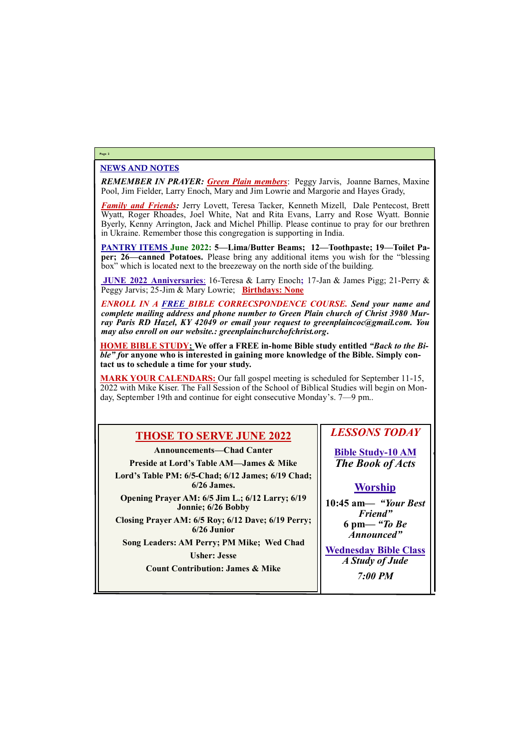### NEWS AND NOTES

*REMEMBER IN PRAYER: Green Plain members*: Peggy Jarvis, Joanne Barnes, Maxine Pool, Jim Fielder, Larry Enoch, Mary and Jim Lowrie and Margorie and Hayes Grady,

*Family and Friends:* Jerry Lovett, Teresa Tacker, Kenneth Mizell, Dale Pentecost, Brett Wyatt, Roger Rhoades, Joel White, Nat and Rita Evans, Larry and Rose Wyatt. Bonnie Byerly, Kenny Arrington, Jack and Michel Phillip. Please continue to pray for our brethren in Ukraine. Remember those this congregation is supporting in India.

**PANTRY ITEMS June 2022: 5—Lima/Butter Beams; 12—Toothpaste; 19—Toilet Paper; 26—canned Potatoes.** Please bring any additional items you wish for the "blessing box" which is located next to the breezeway on the north side of the building.

**JUNE 2022 Anniversaries**: 16-Teresa & Larry Enoch**;** 17-Jan & James Pigg; 21-Perry & Peggy Jarvis; 25-Jim & Mary Lowrie; **Birthdays: None**

*ENROLL IN A FREE BIBLE CORRECSPONDENCE COURSE. Send your name and complete mailing address and phone number to Green Plain church of Christ 3980 Murray Paris RD Hazel, KY 42049 or email your request to greenplaincoc@gmail.com. You may also enroll on our website.: greenplainchurchofchrist.org***.**

**HOME BIBLE STUDY; We offer a FREE in-home Bible study entitled** *"Back to the Bible" f***or anyone who is interested in gaining more knowledge of the Bible. Simply contact us to schedule a time for your study.**

**MARK YOUR CALENDARS:** Our fall gospel meeting is scheduled for September 11-15, 2022 with Mike Kiser. The Fall Session of the School of Biblical Studies will begin on Monday, September 19th and continue for eight consecutive Monday's. 7—9 pm..

#### **Page 2**

# **THOSE TO SERVE JUNE 2022**

**Announcements—Chad Canter**

**Preside at Lord's Table AM—James & Mike**

**Lord's Table PM: 6/5-Chad; 6/12 James; 6/19 Chad; 6/26 James.**

**Opening Prayer AM: 6/5 Jim L.; 6/12 Larry; 6/19 Jonnie; 6/26 Bobby**

**Closing Prayer AM: 6/5 Roy; 6/12 Dave; 6/19 Perry; 6/26 Junior**

**Song Leaders: AM Perry; PM Mike; Wed Chad**

**Usher: Jesse**

### *LESSONS TODAY*

**Bible Study-10 AM** *The Book of Acts*

### **Worship**

| <b>Count Contribution: James &amp; Mike</b> |                |  |
|---------------------------------------------|----------------|--|
|                                             | <b>7:00 PM</b> |  |
|                                             |                |  |

**10:45 am***— "Your Best Friend"* **6 pm—** *"To Be Announced"*

**Wednesday Bible Class** *A Study of Jude*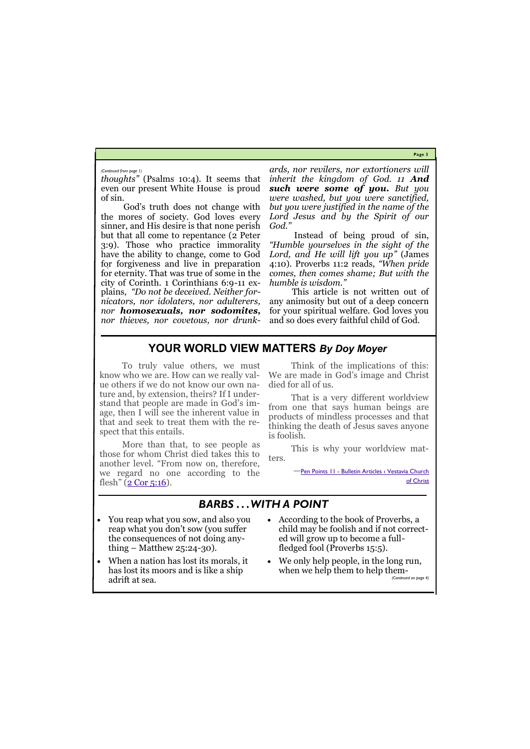**Page 3**

*thoughts"* (Psalms 10:4). It seems that even our present White House is proud of sin.

God's truth does not change with the mores of society. God loves every sinner, and His desire is that none perish but that all come to repentance (2 Peter 3:9). Those who practice immorality have the ability to change, come to God for forgiveness and live in preparation for eternity. That was true of some in the city of Corinth. 1 Corinthians 6:9-11 explains, *"Do not be deceived. Neither fornicators, nor idolaters, nor adulterers, nor homosexuals, nor sodomites, nor thieves, nor covetous, nor drunk-* *ards, nor revilers, nor extortioners will inherit the kingdom of God. 11 And such were some of you. But you were washed, but you were sanctified, but you were justified in the name of the Lord Jesus and by the Spirit of our God."*

More than that, to see people as those for whom Christ died takes this to another level. "From now on, therefore, we regard no one according to the flesh"  $(2$  Cor 5:16).

Instead of being proud of sin, *"Humble yourselves in the sight of the Lord, and He will lift you up"* (James 4:10). Proverbs 11:2 reads, *"When pride comes, then comes shame; But with the humble is wisdom."* 

This article is not written out of any animosity but out of a deep concern for your spiritual welfare. God loves you and so does every faithful child of God.

*(Continued from page 1)*

# **YOUR WORLD VIEW MATTERS** *By Doy Moyer*

when we help them to help them-*(Continued on page 4)*

To truly value others, we must know who we are. How can we really value others if we do not know our own nature and, by extension, theirs? If I understand that people are made in God's image, then I will see the inherent value in that and seek to treat them with the respect that this entails.

Think of the implications of this: We are made in God's image and Christ died for all of us.

That is a very different worldview from one that says human beings are products of mindless processes and that thinking the death of Jesus saves anyone is foolish.

This is why your worldview matters.

> **-Pen Points 11 - Bulletin Articles < Vestavia Church** [of Christ](https://www.vestaviachurchofchrist.com/resources/articles/2022/05/01/pen-points-11)

# *BARBS . . . WITH A POINT*

- You reap what you sow, and also you reap what you don't sow (you suffer the consequences of not doing anything – Matthew 25:24-30).
- When a nation has lost its morals, it
- According to the book of Proverbs, a child may be foolish and if not corrected will grow up to become a fullfledged fool (Proverbs 15:5).
- We only help people, in the long run,

has lost its moors and is like a ship adrift at sea.